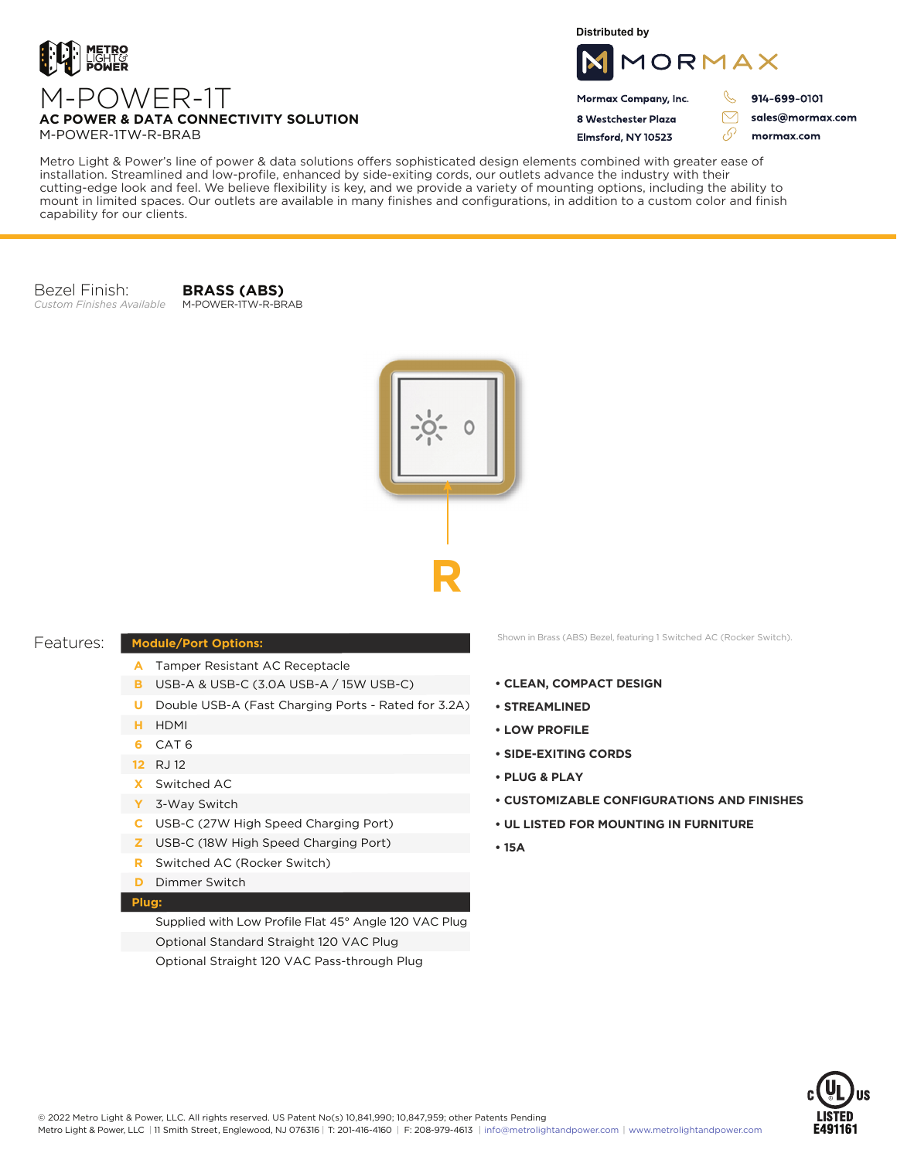

**Distributed by**



Mormax Company, Inc. 8 Westchester Plaza

R 914-699-0101

> sales@mormax.com mormax.com

 $\triangledown$ 

76

M-POWER-1TW-R-BRAB Elmsford, NY 10523 Metro Light & Power's line of power & data solutions offers sophisticated design elements combined with greater ease of

installation. Streamlined and low-profile, enhanced by side-exiting cords, our outlets advance the industry with their cutting-edge look and feel. We believe flexibility is key, and we provide a variety of mounting options, including the ability to mount in limited spaces. Our outlets are available in many finishes and configurations, in addition to a custom color and finish capability for our clients.

Bezel Finish: *Custom Finishes Available*

**BRASS (ABS)** M-POWER-1TW-R-BRAB

**AC POWER & DATA CONNECTIVITY SOLUTION**



## Features:

## **Module/Port Options:**

- A Tamper Resistant AC Receptacle
- USB-A & USB-C (3.0A USB-A / 15W USB-C) **B**
- U Double USB-A (Fast Charging Ports Rated for 3.2A)
- HDMI **H**
- CAT 6 **6**
- 12 RJ 12
- Switched AC **X**
- 3-Way Switch **Y**
- USB-C (27W High Speed Charging Port) **C**
- USB-C (18W High Speed Charging Port) **Z**
- Switched AC (Rocker Switch) **R**
- **D** Dimmer Switch

## **Plug:**

Supplied with Low Profile Flat 45° Angle 120 VAC Plug Optional Standard Straight 120 VAC Plug Optional Straight 120 VAC Pass-through Plug

Shown in Brass (ABS) Bezel, featuring 1 Switched AC (Rocker Switch).

- **CLEAN, COMPACT DESIGN**
- **STREAMLINED**
- **LOW PROFILE**
- **SIDE-EXITING CORDS**
- **PLUG & PLAY**
- **CUSTOMIZABLE CONFIGURATIONS AND FINISHES**
- **UL LISTED FOR MOUNTING IN FURNITURE**
- **15A**